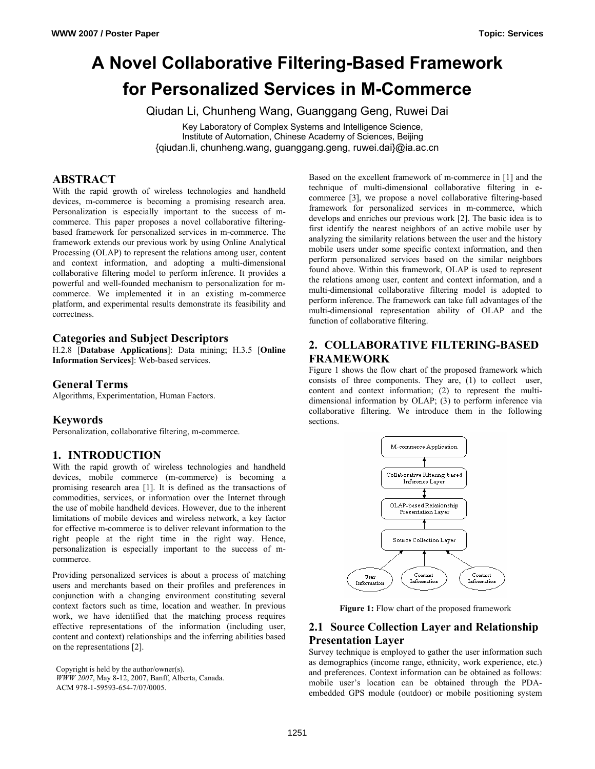# **A Novel Collaborative Filtering-Based Framework for Personalized Services in M-Commerce**

Qiudan Li, Chunheng Wang, Guanggang Geng, Ruwei Dai

Key Laboratory of Complex Systems and Intelligence Science, Institute of Automation, Chinese Academy of Sciences, Beijing {qiudan.li, chunheng.wang, guanggang.geng, ruwei.dai}@ia.ac.cn

## **ABSTRACT**

With the rapid growth of wireless technologies and handheld devices, m-commerce is becoming a promising research area. Personalization is especially important to the success of mcommerce. This paper proposes a novel collaborative filteringbased framework for personalized services in m-commerce. The framework extends our previous work by using Online Analytical Processing (OLAP) to represent the relations among user, content and context information, and adopting a multi-dimensional collaborative filtering model to perform inference. It provides a powerful and well-founded mechanism to personalization for mcommerce. We implemented it in an existing m-commerce platform, and experimental results demonstrate its feasibility and correctness.

## **Categories and Subject Descriptors**

H.2.8 [**Database Applications**]: Data mining; H.3.5 [**Online Information Services**]: Web-based services.

### **General Terms**

Algorithms, Experimentation, Human Factors.

#### **Keywords**

Personalization, collaborative filtering, m-commerce.

## **1. INTRODUCTION**

With the rapid growth of wireless technologies and handheld devices, mobile commerce (m-commerce) is becoming a promising research area [1]. It is defined as the transactions of commodities, services, or information over the Internet through the use of mobile handheld devices. However, due to the inherent limitations of mobile devices and wireless network, a key factor for effective m-commerce is to deliver relevant information to the right people at the right time in the right way. Hence, personalization is especially important to the success of mcommerce.

Providing personalized services is about a process of matching users and merchants based on their profiles and preferences in conjunction with a changing environment constituting several context factors such as time, location and weather. In previous work, we have identified that the matching process requires effective representations of the information (including user, content and context) relationships and the inferring abilities based on the representations [2].

Copyright is held by the author/owner(s). *WWW 2007*, May 8-12, 2007, Banff, Alberta, Canada. ACM 978-1-59593-654-7/07/0005.

Based on the excellent framework of m-commerce in [1] and the technique of multi-dimensional collaborative filtering in ecommerce [3], we propose a novel collaborative filtering-based framework for personalized services in m-commerce, which develops and enriches our previous work [2]. The basic idea is to first identify the nearest neighbors of an active mobile user by analyzing the similarity relations between the user and the history mobile users under some specific context information, and then perform personalized services based on the similar neighbors found above. Within this framework, OLAP is used to represent the relations among user, content and context information, and a multi-dimensional collaborative filtering model is adopted to perform inference. The framework can take full advantages of the multi-dimensional representation ability of OLAP and the function of collaborative filtering.

## **2. COLLABORATIVE FILTERING-BASED FRAMEWORK**

Figure 1 shows the flow chart of the proposed framework which consists of three components. They are, (1) to collect user, content and context information; (2) to represent the multidimensional information by OLAP; (3) to perform inference via collaborative filtering. We introduce them in the following sections.



**Figure 1:** Flow chart of the proposed framework

## **2.1 Source Collection Layer and Relationship Presentation Layer**

Survey technique is employed to gather the user information such as demographics (income range, ethnicity, work experience, etc.) and preferences. Context information can be obtained as follows: mobile user's location can be obtained through the PDAembedded GPS module (outdoor) or mobile positioning system